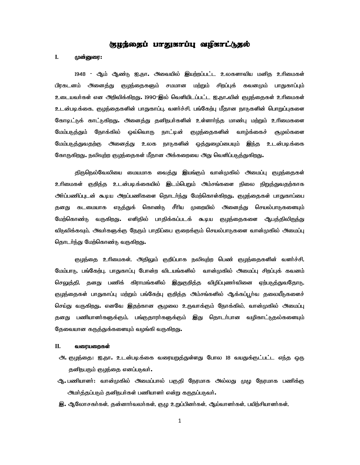## (zyromy) urzystúu augstú.

## **I. முன்னுரை:**

1948 - ஆம் ஆண்டு ஐ.நா. அவையில் இயற்றப்பட்ட உலகளாவிய மனித உரிமைகள் பிரகடனம் அனைத்து குழந்தைகளும் சமமான மற்றும் சிறப்புக் கவனமும் பாதுகாப்பும் உடையவர்கள் என அறிவிக்கிறது. 1990-இல் வெளியிடப்பட்ட ஐ.நா.வின் குழந்தைகள் உரிமைகள் உடன்படிக்கை, குழந்தைகளின் பாதுகாப்பு, வளர்ச்சி, பங்கேற்பு மீதான நாடுகளின் பொறுப்புகளை கோடிட்டுக் காட்டுகிறது. அனைத்து தனிநபர்களின் உள்ளார்ந்த மாண்பு மற்றும் உரிமைகளை மேம்படுத்தும் நோக்கில் ஒவ்வொரு நாட்டின் குழந்தைகளின் வாழ்க்கைச் சூழல்களை மேம்படுத்துவதற்கு அனைத்து உலக நாடுகளின் ஒத்துமைப்பையும் இந்த உடன்படிக்கை கோருகிறது. நலிவுற்ற குழந்தைகள் மீதான அக்கறையை அது வெளிப்படுத்துகிறது.

திருநெல்வேலியை மையமாக வைத்து இயங்கும் வான்முகில் அமைப்பு குழந்தைகள் உரிமைகள் குறித்த உடன்படிக்கையில் இடம்பெறும் <del>அ</del>ம்சங்களை நிலை நிறுத்துவதற்காக <u>அர்ப்பணிப்புடன் கூடிய அறப்பணிகளை தொடர்ந்து மேற்கொள்கிறது. குழந்தைகள் பாதுகாப்பை</u> தனது கடமையாக எடுத்துக் கொண்டு சீரிய முறையில் அனைத்து செயல்பாடுகளையும் மேற்கொண்டு வருகிறது. எளிதில் பாதிக்கப்படக் கூடிய குழந்தைகளை ஆபத்திலிருந்து விடுவிக்கவும், அவா்களுக்கு நேரும் பாதிப்பை குறைக்கும் செயல்பாடுகளை வான்முகில் அமைப்பு தொடர்ந்து மேற்கொண்டு வருகிறது.

குழந்தை உரிமைகள், அதிலும் குறிப்பாக நலிவுற்ற பெண் குழந்தைகளின் வளர்ச்சி, மேம்பாடு, பங்கேற்பு, பாதுகாப்பு போன்ற விடயங்களில் வான்முகில் அமைப்பு சிறப்புக் கவனம் செலுத்தி, தனது பணிக் கிராமங்களில் இதுகுறித்த விழிப்புணர்வினை ஏற்படுத்துவதோடு, குழந்தைகள் பாதுகாப்பு மற்றும் பங்கேற்பு குறித்த அம்சங்களில் ஆக்கப்பூர்வ தலையீடுகளைச் செய்து வருகிறது. எனவே இதற்கான சூழலை உருவாக்கும் நோக்கில், வான்முகில் அமைப்பு தனது பணியாளர்களுக்கும், பங்குதாரர்களுக்கும் இது தொடர்பான வழிகாட்டுதல்களையும் தேவையான கருத்துக்களையும் வழங்கி வருகிறது.

## $II.$  வரையறைகள்

- ஆ. குடிந்தை: ஐ.நா. உடன்படிக்கை வரையறுத்துள்ளது போல 18 வயதுக்குட்பட்ட எந்த ஒரு தனிநபரும் குழந்தை எனப்படுவர்.
- ஆூ பணியாளா்: வான்முகில் அமைப்பால் பகுதி நேரமாக அல்லது முழு நேரமாக பணிக்கு <u>அமர்த்தப்படும் தனிநபர்கள் பணியாளர் என்று கருதப்படுவர்.</u>
- இ. ஆலோசகர்கள், தன்னார்வலர்கள், குழு உறுப்பினர்கள், ஆய்வாளர்கள், பயிற்சியாளர்கள்,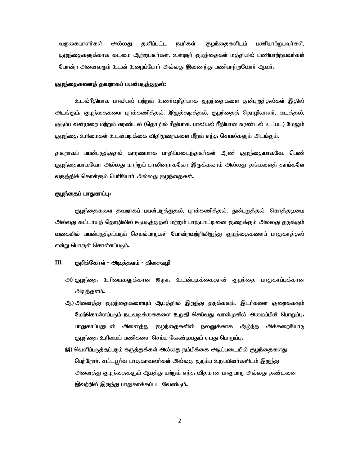வருகையாளர்கள் அல்லது தனிப்பட்ட நபர்கள், குழந்தைகளிடம் பணியாற்றுபவர்கள், குழந்தைகளுக்காக கடமை ஆற்றுபவா்கள், உள்ளூா் குழந்தைகள் மத்தியில் பணியாற்றுபவா்கள் போன்ற அனைவரும் உடன் உழைப்போர் அல்லது இணைந்து பணியாற்றுவோர் ஆவர்.

## குழந்தைகளைத் தவறாகப் பயன்படுத்துதல்:

<u>உடல்ரீதியாக பாலியல் மற்றும் உணர்வுரீதியாக குழந்தைகளை துன்புறுத்தல்கள் இதில்</u> <u>அடங்கும். குழந்</u>தைகளை புறக்கணித்தல், இழுத்தடித்தல், குழந்தைத் தொழிலாளர், கடத்தல், குடும்ப வன்முறை மற்றும் சுரண்டல் (தொழில் ரீதியாக, பாலியல் ரீதியான சுரண்டல் உட்பட) மேலும் குழந்தை உரிமைகள் உடன்படிக்கை விதிமுறைகளை மீறும் எந்த செயல்களும் அடங்கும்.

தவறாகப் பயன்படுத்துதல் காரணமாக பாதிப்படைந்தவர்கள் ஆண் குழந்தையாகவே, பெண் குழந்தையாகவோ அல்லது மாற்றுப் பாலினராகவோ இருக்கலாம் அல்லது தங்களைத் தாங்களே வருத்திக் கொள்ளும் பெரியோர் அல்லது குழந்தைகள்.

## குழந்தைப் பாதுகாப்பு:

குழந்தைகளை தவறாகப் பயன்படுத்துதல், புறக்கணித்தல், துன்புறுத்தல், கொத்தடிமை அல்லது கட்டாயத் தொழிலில் ஈடுபடுத்துதல் மற்றும் பாகுபாட்டினை குறைக்கும் அல்லது தடுக்கும் வகையில் பயன்படுத்தப்படும் செயல்பாடுகள் போன்றவற்றிலிருந்து குழந்தைகளைப் பாதுகாத்தல் என்று பொருள் கொள்ளப்படும்.

## III. குறிக்கோள் - அடித்தளம் - திசைவழி

- ੀ) குழந்தை உரிமைகளுக்கான ஐ.நா**.** உடன்படிக்கைதான் குழந்தை பாதுகாப்புக்கான அடித்தளம்.
- ஆ) அனைத்து குழந்தைகளையும் ஆபத்தில் இருந்து தடுக்கவும், இடர்களை குறைக்கவும் மேற்கொள்ளப்படும் நடவடிக்கைகளை உறுதி செய்வது வான்முகில் அமைப்பின் பொறுப்பு பாதுகாப்பதுடன் அனைத்து குழந்தைகளின் நலனுக்காக ஆழ்ந்த அக்கறையோடு குழந்தை உரிமைப் பணிகளை செய்ய வேண்டியதும் எமது பொறுப்பு.
- இ) வெளிப்படுத்தப்படும் கருத்துக்கள் அல்லது நம்பிக்கை அடிப்படையில் குழந்தைகளது பெற்றோர், சட்டபூர்வ பாதுகாவலர்கள் அல்லது குடும்ப உறுப்பினர்களிடம் இருந்து <u>அனைத்து குழந்தைகளும் ஆபத்து மற்றும் எந்த</u> விதமான பாகுபாடு அல்லது தண்டனை இவற்றில் இருந்து பாதுகாக்கப்பட வேண்டும்.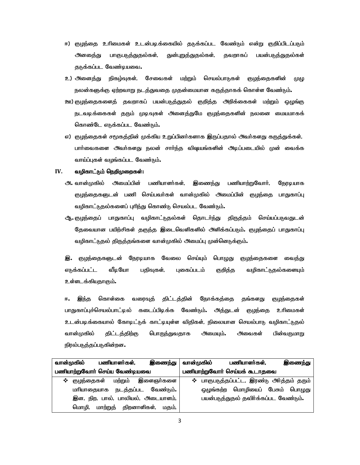- ஈ) குழந்தை உரிமைகள் உடன்படிக்கையில் தடுக்கப்பட வேண்டும் என்று குறிப்பிடப்படும் ினதை்து பாகுபடுத்துதல்கள், துன்புறுத்துதல்கள், தவறாகப் பயன்படுத்துதல்கள் தடுக்கப்பட வேண்டியவை.
- <u>உ) அனைத்து நிகழ்வுகள், சேவைகள் மற்றும் செயல்பாடுகள் குழந்தைகளின் முழு</u> நலன்களுக்கு ஏற்றவாறு நடத்துவதை முதன்மையான கருத்தாகக் கொள்ள வேண்டும்.
- ஊ) குழந்தைகளைத் தவறாகப் பயன்படுத்துதல் குறித்த அறிக்கைகள் மற்றும் ஒழுங்கு நடவடிக்கைகள் தரும் முடிவுகள் அனைத்துமே குழந்தைகளின் நலனை மையமாகக் கொண்டே எடுக்கப்பட வேண்டும்.
- எ) குழந்தைகள் சமூகத்தின் முக்கிய உறுப்பினர்களாக இருப்பதால் அவர்களது கருத்துக்கள், பார்வைகளை அவர்களது நலன் சார்ந்த விஷயங்களின் அடிப்படையில் முன் வைக்க வாய்ப்புகள் வழங்கப்பட வேண்டும்.

## IV. வழிகாட்டும் நெறிமுறைகள்:

- **ி.** வான்முகில் அமைப்பின் பணியாளா்கள், இணைந்து பணியாற்றுவோா், நேரடியாக குழந்தைகளுடன் பணி செய்பவர்கள் வான்முகில் அமைப்பின் குழந்தை பாதுகாப்பு வழிகாட்டுதல்களைப் புரிந்து கொண்டு செயல்பட வேண்டும்.
- ஆ. குழந்தைப் பாதுகாப்பு வழிகாட்டுதல்கள் தொடா்ந்து திருத்தம் செய்யப்படுவதுடன் தேவையான பயிற்சிகள் தகுந்த இடைவெளிகளில் அளிக்கப்படும். குழந்தைப் பாதுகாப்பு வழிகாட்டுதல் திருத்தங்களை வான்முகில் அமைப்பு முன்னெடுக்கும்.

**இ.** குழந்தைகளுடன் நேரடியாக வேலை செய்யும் பொழுது குழந்தைகளை வைத்து எடுக்கப்பட்ட வீடியோ பதிவுகள், புகைப்படம் குறித்த வழிகாட்டுதல்களையும் உள்ளடக்கியதாகும்.

ஈ**.** இந்த கொள்கை வரைவுத் திட்டத்தின் நோக்கத்தை தங்களது குழந்தைகள் பாதுகாப்புச்செயல்பாட்டில் கடைப்பிடிக்க வேண்டும். அத்துடன் குழந்தை உரிமைகள் உடன்படிக்கையால் கோடிட்டுக் காட்டியுள்ள விதிகள், நிலையான செயல்பாடு வழிகாட்டுதல் வான்முகில் திட்டத்திற்கு பொருந்துவதாக அமையும்**.** அவைகள் பின்வருமாறு நிரல்படுத்தப்படுகின்றன.

|                               | வான்முகில்                        |          | பணியாளர்கள், |             | இணைந்து          | வான்முகில்                            |           | பணியாளர்கள்,                              |  | இணைந்து |
|-------------------------------|-----------------------------------|----------|--------------|-------------|------------------|---------------------------------------|-----------|-------------------------------------------|--|---------|
| பணியாற்றுவோர் செய்ய வேண்டியவை |                                   |          |              |             |                  | பணியாற்றுவோர் செய்யக் கூடாதவை         |           |                                           |  |         |
| $\cdot$                       | குழந்தைகள்                        |          | மற்றும்      |             | <b>இளைஞர்களை</b> |                                       |           | ❖ பாகுபடுத்தப்பட்ட, இரண்டு அர்த்தம் தரும் |  |         |
|                               | மரியாதையாக                        |          | நடத்தப்பட    |             | வேண்டும்.        |                                       | ஒழுங்கற்ற | மொழியைப் பேசும்                           |  | பொழுது  |
|                               | இன, நிற, பால், பாலியல், அடையாளம், |          |              |             |                  | பயன்படுத்துதல் தவிர்க்கப்பட வேண்டும். |           |                                           |  |         |
|                               | மொமி,                             | மாற்றுத் |              | திறனாளிகள், | மகம்.            |                                       |           |                                           |  |         |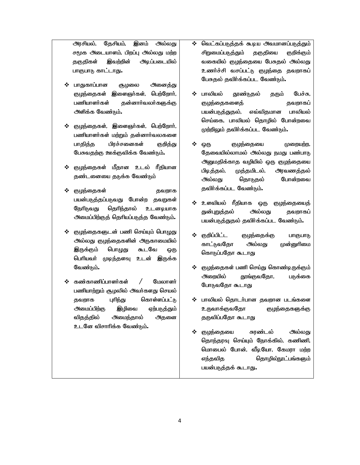அரசியல், தேசியம், **இ**னம் அல்லது சமூக அடையாளம், பிறப்பு அல்லது மற்ற தகுதிகள் இவற்றின் அடிப்படையில் பாகுபாடு காட்டாது.

- பாதுகாப்பான சூழலை அனைத்து குழந்தைகள் இளைஞர்கள், பெற்றோர், பணியாளர்கள் தன்னார்வலர்களுக்கு அளிக்க வேண்டும்.
- $\Leftrightarrow$  குழந்தைகள், இளைஞர்கள், பெற்றோர், பணியாளர்கள் மற்றும் தன்னார்வலகளை பாதித்த பிரச்சனைகள் குறித்து பேசுவதற்கு ஊக்குவிக்க வேண்டும்.
- ❖ குழந்தைகள் மீதான உடல் ரீதியான தண்டனையை தடுக்க வேண்டும்
- Foe;ijfs; jtwhf பயன்படுத்தப்படுவது போன்ற தவறுகள் நேரிடுவது தெரிந்தால் உடனடியாக அமைப்பிற்குத் தெரியப்படுத்த வேண்டும்.
- குழந்தைகளுடன் பணி செய்யும் பொழுது அல்லது குழந்தைகளின் அருகாமையில் இருக்கும் பொழுது கூடவே ஒரு பெரியவர் முடிந்தளவு உடன் இருக்க வேண்டும்.
- கண்காணிப்பாளர்கள் / மேலாளர் பணியாற்றும் சூழலில் அவர்களது செயல் தவறாக புரிந்து கொள்ளப்பட்டு <u> அமைப்பிற்கு இழிவை ஏற்படுத்தும்</u> விதத்தில் அமைந்தால் அதனை உடனே விசாரிக்க வேண்டும்.
- ு வெட்கப்படுத்தக் கூடிய அவமானப்படுத்தும் சிறுமைப்படுத்தும் தகுதியை குறிக்கும் வகையில் குழந்தையை பேசுதல் அல்லது உணர்ச்சி வசப்பட்டு குழந்தை தவறாகப் பேசுதல் தவிர்க்கப்பட வேண்டும்.
- ❖ பாலியல் தூண்டுதல் தரும் பேச்சு, குழந்தைகளைத் மார்ப்பை தவறாகப் பயன்படுத்துதல், எவ்விதமான பாலியல் செய்கை, பாலியல் தொழில் போன்றவை முற்றிலும் தவிர்க்கப்பட வேண்டும்.
- $\boldsymbol{\dot{\cdot}}$  ஒரு குழந்தையை முறையற்ற, தேவையில்லாமல் அல்லது நமது பண்பாடு அனுமதிக்காத வழியில் ஒரு குழந்தையை பிடித்தல், முத்தமிடல், அரவணத்தல் அல்லது தொடுதல் போன்றவை தவிர்க்கப்பட வேண்டும்.
- $\boldsymbol{\dot{\cdot}}$  உளவியல் ரீதியாக ஒரு குழந்தையைத் துன்புறுத்தல் அல்லது தவறாகப் பயன்படுத்துதல் தவிர்க்கப்பட வேண்டும்.
- ❖ குறிப்பிட்ட குழந்தைக்கு பாகுபாடு காட்டுவதோ அல்லது முன்னுரிமை கொடுப்பதோ கூடாது
- $\div$  குழந்தைகள் பணி செய்து கொண்டிருக்கும் அ<sub>றையில் தூங்குவதோ, படுக்கை</sub> போடுவதோ கூடாது
- ் பாலியல் தொடர்பான தவறான படங்களை உருவாக்குவதோ குழந்தைகளுக்கு தருவிப்பதோ கூடாது
- ❖ குழந்தையை சுரண்டல் அல்லது தொந்தரவு செய்யும் நோக்கில், கணிணி, மொபைல் போன், வீடியோ, கேமரா மற்ற எந்தவித வெரழில்நூட்பங்களும் பயன்படுத்தக் கூடாது.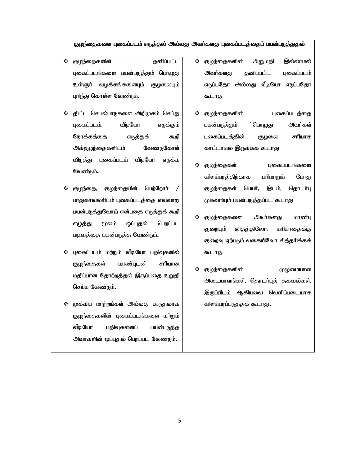## குழந்தைகளை புகைப்படம் எடுத்தல் அல்லது அவர்களது புகைப்படத்தைப் பயன்படுத்துதல்

- Foe;ijfspd; jdpg;gl;l புகைப்படங்களை பயன்படுத்தும் பொழுது உள்ளுர் வழக்கங்களையும் சூழலையும் புரிந்து கொள்ள வேண்டும்.
- ் திட்ட செயல்பாடுகளை அறிமுகம் செய்து புகைப்படம், வீடியோ எடுக்கும் நோக்கத்தை எடுத்துக் கூறி <u>அக்குழந்தைகளிடம்</u> வேண்டுகோள் விடுத்து புகைப்படம் வீடியோ எடுக்க வேண்டும்.
- ❖ குழந்தை, குழந்தையின் பெற்றோா் பாதுகாவலாிடம் புகைப்படத்தை எவ்வாறு பயன்படுத்துவோம் என்பதை எடுத்துக் கூறி எழுத்து மூலம் ஒப்புதல் பெறப்பட படிவத்தை பயன்படுத்த வேண்டும்.
- $\boldsymbol{\cdot}$  புகைப்படம் மற்றும் வீடியோ பதிவுகளில் குழந்தைகள் மாண்புடன் சாியான மதிப்பான தோற்றத்தல் இருப்பதை உறுதி செய்ய வேண்டும்.
- ❖ முக்கிய மாற்றங்கள் அல்லது கூடுதலாக குழந்தைகளின் புகைப்படங்களை மற்றும் வீடியோ பதிவுகளைப் பயன்படுத்த அவர்களின் ஒப்புதல் பெறப்பட வேண்டும்.
- $\boldsymbol{\dot{\cdot}}$  குழந்தைகளின் அனுமதி இல்லாமல் <u> அவர்களது தனிப்பட்ட புகைப்படம்</u> எடுப்பதோ அல்லது வீடியோ எடுப்பதோ கூடாது
- ❖ குழந்தைகளின் புகைப்படத்தை பயன்படுத்தும் ்பொழுது அவர்கள் புகைப்படத்தின் சூழலை சாியாக காட்டாமல் இருக்கக் கூடாது
- ❖ குழந்தைகள் புகைப்படங்களை விளம்பரத்திற்காக பாிமாறும் போது குழந்தைகள் பெயர், இடம், தொடர்பு முகவரியும் பயன்படுத்தப்பட கூடாது
- ❖ குழந்தைகளை அவர்களது மாண்பு குறையும் விதத்திலோ, மாியாதைக்கு குறைவு ஏற்படும் வகையிவோ சித்தரிக்கக் கூடாது
- ❖ குழந்தைகளின் முழுமையான அடையாளங்கள், தொடர்புத் தகவல்கள், இருப்பிடம் ஆகியவை வெளிப்படையாக விளம்பரப்படுத்தக் கூடாது.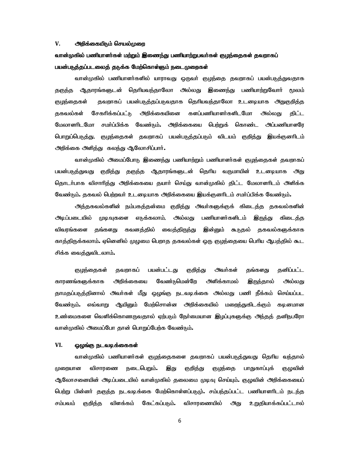#### $V$ . <del>அ</del>றிக்கையிடும் செயல்முறை

# வான்முகில் பணியாளர்கள் மற்றும் இணைந்து பணியாற்றுபவர்கள் குழந்தைகள் தவறாகப் பயன்படுத்தப்படலைத் தடுக்க மேற்கொள்ளும் நடைமுறைகள்

வான்முகில் பணியாளர்களில் யாராவது ஒருவர் குழந்தை தவறாகப் பயன்படுத்துவதாக தகுந்த ஆதாரங்களுடன் தெரியவந்தாலோ அல்லது இணைந்து பணியாற்றுவோர் மூலம் குழந்தைகள் தவறாகப் பயன்படுத்தப்படுவதாக தெரியவந்தாலோ உடனடியாக அதுகுறித்த தகவல்கள் சேகரிக்கப்பட்டு அறிக்கையினை களப்பணியாளர்களிடமோ அல்லது திட்ட மேலாளாிடமோ சமா்ப்பிக்க வேண்டும். அறிக்கையை பெற்றுக் கொண்ட அப்பணியாளரே பொறுப்பெடுத்து, குழந்தைகள் தவறாகப் பயன்படுத்தப்படும் விடயம் குறித்து இயக்குனரிடம் அறிக்கை அளித்து கலந்து ஆலோசிப்பார்**.** 

வான்முகில் அமைப்போடு இணைந்து பணியாற்றும் பணியாளர்கள் குழந்தைகள் தவறாகப் பயன்படுத்துவது குறித்து தகுந்த ஆதாரங்களுடன் தெரிய வருமாயின் உடனடியாக அது தொடர்பாக விசாரித்து அறிக்கையை தயார் செய்து வான்முகில் திட்ட மேலாளரிடம் அளிக்க வேண்டும். தகவல் பெற்றவர் உடனடியாக அறிக்கையை இயக்குனரிடம் சமா்ப்பிக்க வேண்டும்.

அத்தகவல்களின் நம்பகத்தன்மை குறித்து அவர்களுக்குக் கிடைத்த தகவல்களின் அடிப்படையில் முடிவுகளை எடுக்கலாம், அல்லது பணியாளர்களிடம் இ<u>ருந்து</u> கிடைத்த விவரங்களை தங்களது கவனத்தில் வைத்திருந்து இன்னும் கூடுதல் தகவல்களுக்காக காத்திருக்கலாம். ஏனெனில் முழுமை பெறாத தகவல்கள் ஒரு குழந்தையை பெரிய ஆபத்தில் கூட சிக்க வைத்துவிடலாம்.

குழந்தைகள் தவறாகப் பயன்பட்டது குறித்து அவர்கள் தங்களது தனிப்பட்ட காரணங்களுக்காக அறிக்கையை வேண்டுமென்றே அளிக்காமல் இருந்தால் அல்லது தாமதப்படுத்தினால் அவா்கள் மீது ஒழுங்கு நடவடிக்கை அல்லது பணி நீக்கம் செய்யப்பட வேண்டும். எவ்வாறு ஆயினும் மேற்சொன்ன அறிக்கையில் மறைந்துகிடக்கும் கடினமான உண்மைகளை வெளிக்கொணருவதால் ஏற்படும் நேர்மையான இழப்புகளுக்கு அந்தத் தனிநபரோ வான்முகில் அமைப்போ தான் பொறுப்பேற்க வேண்டும்.

## $VI.$  ஓழுங்கு நடவடிக்கைகள்

வான்முகில் பணியாளர்கள் குழந்தைகளை தவறாகப் பயன்படுத்துவது தெரிய வந்தால் முறையான விசாரணை நடைபெறும். இது குறித்து குழந்தை பாதுகாப்புக் குழுவின் ஆலோசனையின் அடிப்படையில் வான்முகில் தலைமை முடிவு செய்யும். குழுவின் அறிக்கையைப் பெற்று பின்னா் தகுந்த நடவடிக்கை மேற்கொள்ளப்படுமு். சம்பந்தப்பட்ட பணியாளாிடம் நடந்த சம்பவம் குறித்த விளக்கம் கேட்கப்படும்**.** விசாரணையில் அது உறுதியாக்கப்பட்டால்

6